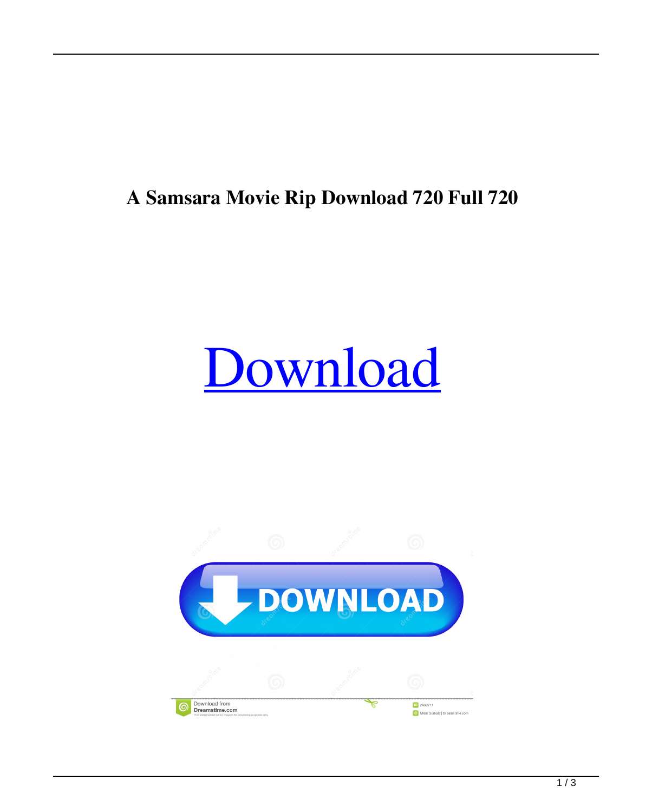## **A Samsara Movie Rip Download 720 Full 720**

## [Download](http://evacdir.com/ZG93bmxvYWR8bW0xTWpONU5YeDhNVFkxTWpjME1EZzJObng4TWpVM05IeDhLRTBwSUhKbFlXUXRZbXh2WnlCYlJtRnpkQ0JIUlU1ZA/dennise.YSBTYW1zYXJhIHRvcnJlbnQYSB.attackable/dells.occasions/incoll.ninds.oocchabala)

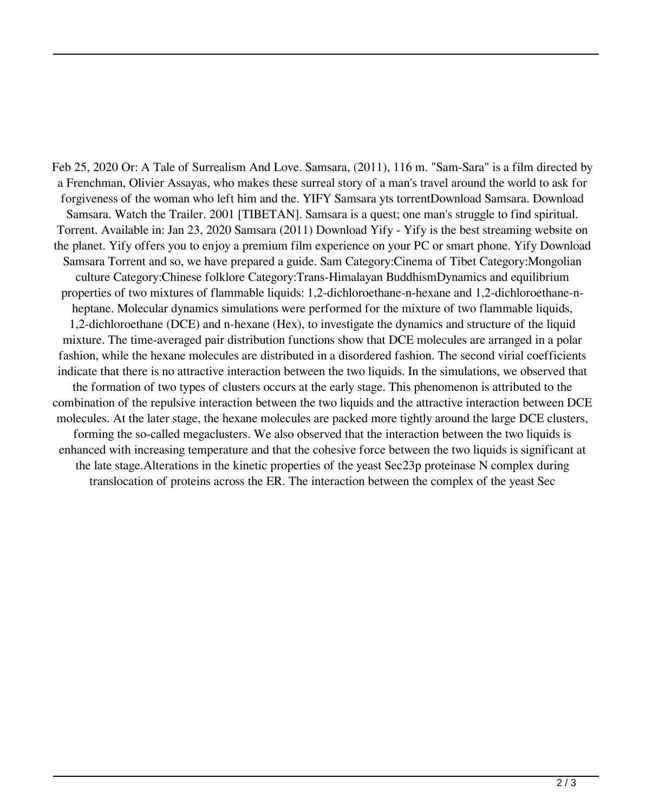Feb 25, 2020 Or: A Tale of Surrealism And Love. Samsara, (2011), 116 m. "Sam-Sara" is a film directed by a Frenchman, Olivier Assayas, who makes these surreal story of a man's travel around the world to ask for forgiveness of the woman who left him and the. YIFY Samsara yts torrentDownload Samsara. Download Samsara. Watch the Trailer. 2001 [TIBETAN]. Samsara is a quest; one man's struggle to find spiritual. Torrent. Available in: Jan 23, 2020 Samsara (2011) Download Yify - Yify is the best streaming website on the planet. Yify offers you to enjoy a premium film experience on your PC or smart phone. Yify Download Samsara Torrent and so, we have prepared a guide. Sam Category:Cinema of Tibet Category:Mongolian culture Category:Chinese folklore Category:Trans-Himalayan BuddhismDynamics and equilibrium properties of two mixtures of flammable liquids: 1,2-dichloroethane-n-hexane and 1,2-dichloroethane-nheptane. Molecular dynamics simulations were performed for the mixture of two flammable liquids, 1,2-dichloroethane (DCE) and n-hexane (Hex), to investigate the dynamics and structure of the liquid mixture. The time-averaged pair distribution functions show that DCE molecules are arranged in a polar fashion, while the hexane molecules are distributed in a disordered fashion. The second virial coefficients indicate that there is no attractive interaction between the two liquids. In the simulations, we observed that the formation of two types of clusters occurs at the early stage. This phenomenon is attributed to the combination of the repulsive interaction between the two liquids and the attractive interaction between DCE molecules. At the later stage, the hexane molecules are packed more tightly around the large DCE clusters, forming the so-called megaclusters. We also observed that the interaction between the two liquids is enhanced with increasing temperature and that the cohesive force between the two liquids is significant at the late stage.Alterations in the kinetic properties of the yeast Sec23p proteinase N complex during translocation of proteins across the ER. The interaction between the complex of the yeast Sec